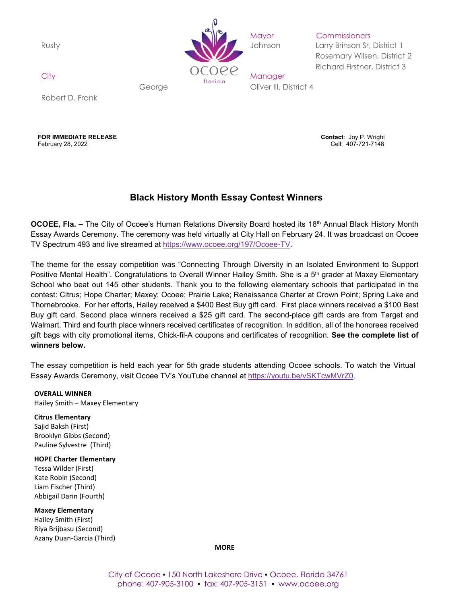

Mayor Commissioners

Rusty **Johnson Larry Brinson Sr, District 1** Rosemary Wilsen, District 2 Richard Firstner, District 3

George Cliver III, District 4

Robert D. Frank

**FOR IMMEDIATE RELEASE Contact**: Joy P. Wright February 28, 2022 Cell: 407-721-7148

# **Black History Month Essay Contest Winners**

**OCOEE, Fla. –** The City of Ocoee's Human Relations Diversity Board hosted its 18<sup>th</sup> Annual Black History Month Essay Awards Ceremony. The ceremony was held virtually at City Hall on February 24. It was broadcast on Ocoee TV Spectrum 493 and live streamed at [https://www.ocoee.org/197/Ocoee-TV.](https://www.ocoee.org/197/Ocoee-TV)

The theme for the essay competition was "Connecting Through Diversity in an Isolated Environment to Support Positive Mental Health". Congratulations to Overall Winner Hailey Smith. She is a 5<sup>th</sup> grader at Maxey Elementary School who beat out 145 other students. Thank you to the following elementary schools that participated in the contest: Citrus; Hope Charter; Maxey; Ocoee; Prairie Lake; Renaissance Charter at Crown Point; Spring Lake and Thornebrooke. For her efforts, Hailey received a \$400 Best Buy gift card. First place winners received a \$100 Best Buy gift card. Second place winners received a \$25 gift card. The second-place gift cards are from Target and Walmart. Third and fourth place winners received certificates of recognition. In addition, all of the honorees received gift bags with city promotional items, Chick-fil-A coupons and certificates of recognition. **See the complete list of winners below.** 

The essay competition is held each year for 5th grade students attending Ocoee schools. To watch the Virtual Essay Awards Ceremony, visit Ocoee TV's YouTube channel at [https://youtu.be/vSKTcwMVrZ0.](https://youtu.be/vSKTcwMVrZ0)

#### **OVERALL WINNER**

Hailey Smith – Maxey Elementary

#### **Citrus Elementary**

Sajid Baksh (First) Brooklyn Gibbs (Second) Pauline Sylvestre (Third)

#### **HOPE Charter Elementary**

Tessa Wilder (First) Kate Robin (Second) Liam Fischer (Third) Abbigail Darin (Fourth)

**Maxey Elementary** Hailey Smith (First) Riya Brijbasu (Second) Azany Duan-Garcia (Third)

**MORE**